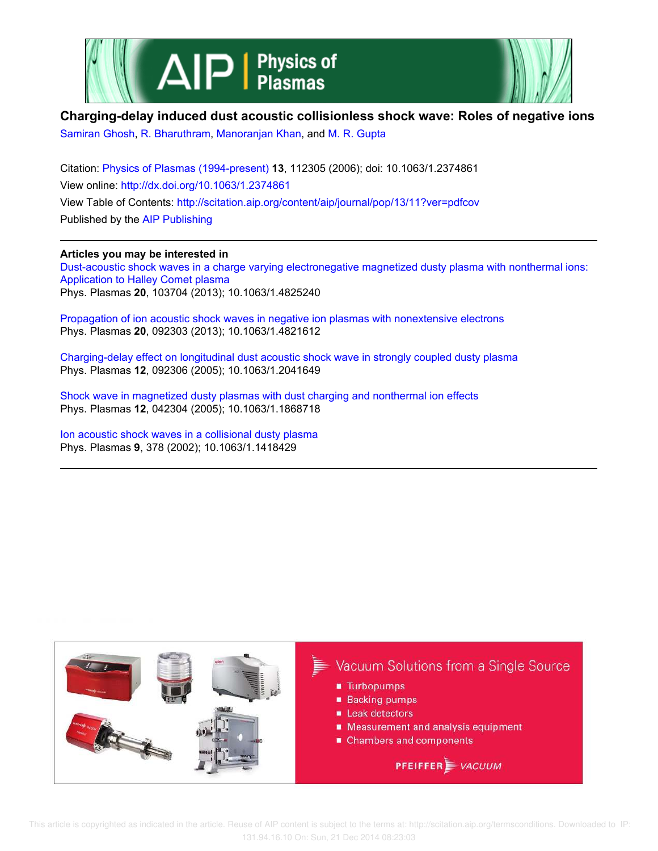



## **Charging-delay induced dust acoustic collisionless shock wave: Roles of negative ions**

Samiran Ghosh, R. Bharuthram, Manoranjan Khan, and M. R. Gupta

Citation: Physics of Plasmas (1994-present) **13**, 112305 (2006); doi: 10.1063/1.2374861 View online: http://dx.doi.org/10.1063/1.2374861 View Table of Contents: http://scitation.aip.org/content/aip/journal/pop/13/11?ver=pdfcov Published by the AIP Publishing

### **Articles you may be interested in**

Dust-acoustic shock waves in a charge varying electronegative magnetized dusty plasma with nonthermal ions: Application to Halley Comet plasma Phys. Plasmas **20**, 103704 (2013); 10.1063/1.4825240

Propagation of ion acoustic shock waves in negative ion plasmas with nonextensive electrons Phys. Plasmas **20**, 092303 (2013); 10.1063/1.4821612

Charging-delay effect on longitudinal dust acoustic shock wave in strongly coupled dusty plasma Phys. Plasmas **12**, 092306 (2005); 10.1063/1.2041649

Shock wave in magnetized dusty plasmas with dust charging and nonthermal ion effects Phys. Plasmas **12**, 042304 (2005); 10.1063/1.1868718

Ion acoustic shock waves in a collisional dusty plasma Phys. Plasmas **9**, 378 (2002); 10.1063/1.1418429



 This article is copyrighted as indicated in the article. Reuse of AIP content is subject to the terms at: http://scitation.aip.org/termsconditions. Downloaded to IP: 131.94.16.10 On: Sun, 21 Dec 2014 08:23:03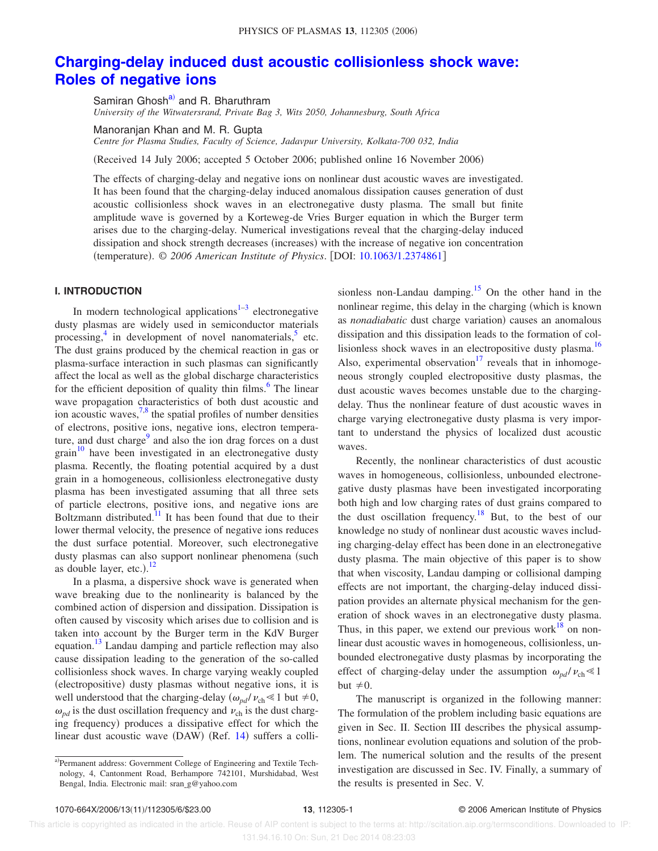# **Charging-delay induced dust acoustic collisionless shock wave: Roles of negative ions**

Samiran Ghosh<sup>a)</sup> and R. Bharuthram *University of the Witwatersrand, Private Bag 3, Wits 2050, Johannesburg, South Africa*

Manoranjan Khan and M. R. Gupta *Centre for Plasma Studies, Faculty of Science, Jadavpur University, Kolkata-700 032, India*

(Received 14 July 2006; accepted 5 October 2006; published online 16 November 2006)

The effects of charging-delay and negative ions on nonlinear dust acoustic waves are investigated. It has been found that the charging-delay induced anomalous dissipation causes generation of dust acoustic collisionless shock waves in an electronegative dusty plasma. The small but finite amplitude wave is governed by a Korteweg-de Vries Burger equation in which the Burger term arises due to the charging-delay. Numerical investigations reveal that the charging-delay induced dissipation and shock strength decreases (increases) with the increase of negative ion concentration (temperature). © 2006 American Institute of Physics. [DOI: 10.1063/1.2374861]

### **I. INTRODUCTION**

In modern technological applications<sup>1-3</sup> electronegative dusty plasmas are widely used in semiconductor materials processing,  $\frac{4}{3}$  in development of novel nanomaterials,  $\frac{5}{3}$  etc. The dust grains produced by the chemical reaction in gas or plasma-surface interaction in such plasmas can significantly affect the local as well as the global discharge characteristics for the efficient deposition of quality thin films.<sup>6</sup> The linear wave propagation characteristics of both dust acoustic and ion acoustic waves,  $7.8$  the spatial profiles of number densities of electrons, positive ions, negative ions, electron temperature, and dust charge<sup>9</sup> and also the ion drag forces on a dust  $grain<sup>10</sup>$  have been investigated in an electronegative dusty plasma. Recently, the floating potential acquired by a dust grain in a homogeneous, collisionless electronegative dusty plasma has been investigated assuming that all three sets of particle electrons, positive ions, and negative ions are Boltzmann distributed.<sup>11</sup> It has been found that due to their lower thermal velocity, the presence of negative ions reduces the dust surface potential. Moreover, such electronegative dusty plasmas can also support nonlinear phenomena (such as double layer, etc.). $^{12}$ 

In a plasma, a dispersive shock wave is generated when wave breaking due to the nonlinearity is balanced by the combined action of dispersion and dissipation. Dissipation is often caused by viscosity which arises due to collision and is taken into account by the Burger term in the KdV Burger equation.<sup>13</sup> Landau damping and particle reflection may also cause dissipation leading to the generation of the so-called collisionless shock waves. In charge varying weakly coupled (electropositive) dusty plasmas without negative ions, it is well understood that the charging-delay  $(\omega_{pd}/\nu_{ch} \le 1$  but  $\ne 0$ ,  $\omega_{pd}$  is the dust oscillation frequency and  $\nu_{ch}$  is the dust charging frequency) produces a dissipative effect for which the linear dust acoustic wave (DAW) (Ref. 14) suffers a collisionless non-Landau damping.<sup>15</sup> On the other hand in the nonlinear regime, this delay in the charging (which is known as *nonadiabatic* dust charge variation) causes an anomalous dissipation and this dissipation leads to the formation of collisionless shock waves in an electropositive dusty plasma.<sup>16</sup> Also, experimental observation<sup>17</sup> reveals that in inhomogeneous strongly coupled electropositive dusty plasmas, the dust acoustic waves becomes unstable due to the chargingdelay. Thus the nonlinear feature of dust acoustic waves in charge varying electronegative dusty plasma is very important to understand the physics of localized dust acoustic waves.

Recently, the nonlinear characteristics of dust acoustic waves in homogeneous, collisionless, unbounded electronegative dusty plasmas have been investigated incorporating both high and low charging rates of dust grains compared to the dust oscillation frequency.<sup>18</sup> But, to the best of our knowledge no study of nonlinear dust acoustic waves including charging-delay effect has been done in an electronegative dusty plasma. The main objective of this paper is to show that when viscosity, Landau damping or collisional damping effects are not important, the charging-delay induced dissipation provides an alternate physical mechanism for the generation of shock waves in an electronegative dusty plasma. Thus, in this paper, we extend our previous work $18$  on nonlinear dust acoustic waves in homogeneous, collisionless, unbounded electronegative dusty plasmas by incorporating the effect of charging-delay under the assumption  $\omega_{pd}/v_{ch} \ll 1$ but  $\neq 0$ .

The manuscript is organized in the following manner: The formulation of the problem including basic equations are given in Sec. II. Section III describes the physical assumptions, nonlinear evolution equations and solution of the problem. The numerical solution and the results of the present investigation are discussed in Sec. IV. Finally, a summary of the results is presented in Sec. V.

a)Permanent address: Government College of Engineering and Textile Technology, 4, Cantonment Road, Berhampore 742101, Murshidabad, West Bengal, India. Electronic mail: srang@yahoo.com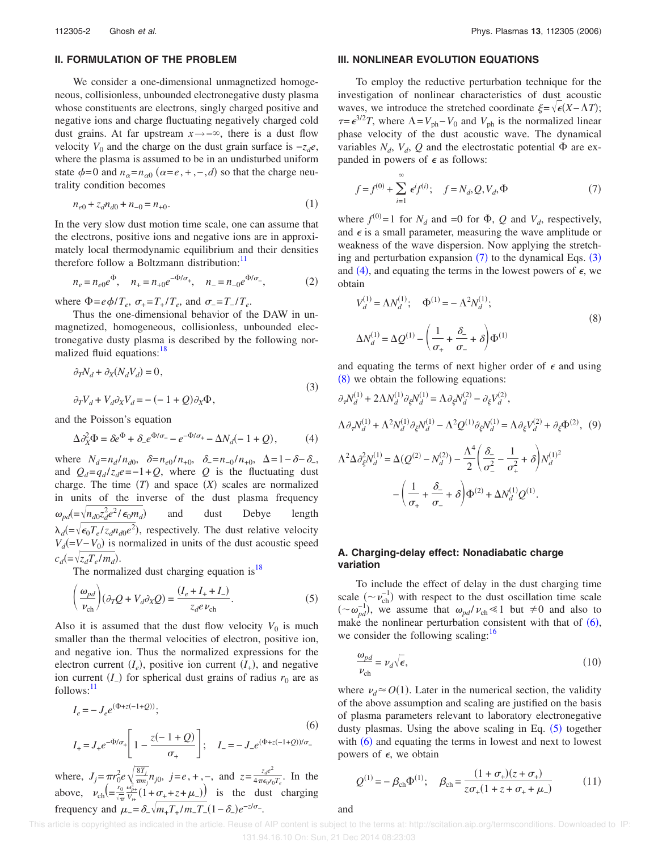#### **II. FORMULATION OF THE PROBLEM**

We consider a one-dimensional unmagnetized homogeneous, collisionless, unbounded electronegative dusty plasma whose constituents are electrons, singly charged positive and negative ions and charge fluctuating negatively charged cold dust grains. At far upstream  $x \rightarrow -\infty$ , there is a dust flow velocity  $V_0$  and the charge on the dust grain surface is  $-z_d e$ , where the plasma is assumed to be in an undisturbed uniform state  $\phi = 0$  and  $n_{\alpha} = n_{\alpha 0}$  ( $\alpha = e, +, -, d$ ) so that the charge neutrality condition becomes

$$
n_{e0} + z_d n_{d0} + n_{-0} = n_{+0}.\tag{1}
$$

In the very slow dust motion time scale, one can assume that the electrons, positive ions and negative ions are in approximately local thermodynamic equilibrium and their densities therefore follow a Boltzmann distribution:<sup>11</sup>

$$
n_e = n_{e0}e^{\Phi}, \quad n_+ = n_{+0}e^{-\Phi/\sigma_+}, \quad n_- = n_{-0}e^{\Phi/\sigma_-}, \tag{2}
$$

where  $\Phi = e\phi/T_e$ ,  $\sigma_+ = T_+ / T_e$ , and  $\sigma_- = T_- / T_e$ .

Thus the one-dimensional behavior of the DAW in unmagnetized, homogeneous, collisionless, unbounded electronegative dusty plasma is described by the following normalized fluid equations:<sup>18</sup>

$$
\partial_T N_d + \partial_X (N_d V_d) = 0,
$$
  
\n
$$
\partial_T V_d + V_d \partial_X V_d = -(-1 + Q) \partial_X \Phi,
$$
\n(3)

and the Poisson's equation

$$
\Delta \partial_X^2 \Phi = \delta e^{\Phi} + \delta_- e^{\Phi/\sigma_-} - e^{-\Phi/\sigma_+} - \Delta N_d(-1+Q), \tag{4}
$$

where  $N_d = n_d/n_{d0}$ ,  $\delta = n_{e0}/n_{+0}$ ,  $\delta = n_{-0}/n_{+0}$ ,  $\Delta = 1 - \delta - \delta$ , and  $Q_d = q_d/z_d e = -1 + Q$ , where *Q* is the fluctuating dust charge. The time  $(T)$  and space  $(X)$  scales are normalized in units of the inverse of the dust plasma frequency  $\omega_{pd} = \sqrt{n_{d0} z_d^2 e^2 / \epsilon_0 m_d}$  and dust Debye length  $\lambda_d$ (= $\sqrt{\epsilon_0 T_e / z_d n_{d0} e^2}$ ), respectively. The dust relative velocity  $V_d$ (=*V*−*V*<sub>0</sub>) is normalized in units of the dust acoustic speed  $c_d = \sqrt{z_d T_e / m_d}$ .

The normalized dust charging equation is<sup>18</sup>

$$
\left(\frac{\omega_{pd}}{v_{\rm ch}}\right)(\partial_T Q + V_d \partial_X Q) = \frac{(I_e + I_+ + I_-)}{z_d e v_{\rm ch}}.\tag{5}
$$

Also it is assumed that the dust flow velocity  $V_0$  is much smaller than the thermal velocities of electron, positive ion, and negative ion. Thus the normalized expressions for the electron current  $(I_e)$ , positive ion current  $(I_+)$ , and negative ion current  $(I_$ ) for spherical dust grains of radius  $r_0$  are as  $follows:$ <sup>11</sup>

$$
I_e = -J_e e^{(\Phi + z(-1+Q))};
$$
\n
$$
I_+ = J_+ e^{-\Phi/\sigma_+} \left[ 1 - \frac{z(-1+Q)}{\sigma_+} \right]; \quad I_- = -J_- e^{(\Phi + z(-1+Q))/\sigma_-}
$$
\n(6)

where,  $J_j = \pi r_0^2 e \sqrt{\frac{8T_j}{\pi m}}$  $\frac{8T_j}{\pi m_j} n_{j0}$ , *j*=*e*, +,−, and *z*= $\frac{z_d e^2}{4 \pi \epsilon_0 r_0}$  $\frac{c_d c}{4 \pi \epsilon_0 r_0 T_e}$ . In the above,  $\nu_{ch} = \frac{r_0}{\sqrt{\pi}}$  $\frac{r_0}{\sqrt{\pi}} \frac{\omega_{p+}^2}{V_{t+}}$  $\frac{\omega_{p+}^2}{V_{t+}}(1+\frac{\sigma_++z+\mu_-)}{V_{t+}}$  is the dust charging frequency and  $\mu = \delta_-\sqrt{m_+T_+/m_-T_-}(1-\delta_-)e^{-z/\sigma_-}$ .

#### **III. NONLINEAR EVOLUTION EQUATIONS**

To employ the reductive perturbation technique for the investigation of nonlinear characteristics of dust acoustic waves, we introduce the stretched coordinate  $\xi = \sqrt{\epsilon}(X - \Lambda T);$  $\tau = \epsilon^{3/2}T$ , where  $\Lambda = V_{\text{ph}} - V_0$  and  $V_{\text{ph}}$  is the normalized linear phase velocity of the dust acoustic wave. The dynamical variables  $N_d$ ,  $V_d$ ,  $Q$  and the electrostatic potential  $\Phi$  are expanded in powers of  $\epsilon$  as follows:

$$
f = f^{(0)} + \sum_{i=1}^{\infty} \epsilon^i f^{(i)}; \quad f = N_d, Q, V_d, \Phi
$$
 (7)

where  $f^{(0)} = 1$  for  $N_d$  and  $= 0$  for  $\Phi$ ,  $Q$  and  $V_d$ , respectively, and  $\epsilon$  is a small parameter, measuring the wave amplitude or weakness of the wave dispersion. Now applying the stretching and perturbation expansion  $(7)$  to the dynamical Eqs.  $(3)$ and (4), and equating the terms in the lowest powers of  $\epsilon$ , we obtain

$$
V_d^{(1)} = \Lambda N_d^{(1)}; \quad \Phi^{(1)} = -\Lambda^2 N_d^{(1)}; \n\Delta N_d^{(1)} = \Delta Q^{(1)} - \left(\frac{1}{\sigma_+} + \frac{\delta_-}{\sigma_-} + \delta\right) \Phi^{(1)}
$$
\n(8)

and equating the terms of next higher order of  $\epsilon$  and using  $(8)$  we obtain the following equations:

$$
\partial_{\tau} N_d^{(1)} + 2\Lambda N_d^{(1)} \partial_{\xi} N_d^{(1)} = \Lambda \partial_{\xi} N_d^{(2)} - \partial_{\xi} V_d^{(2)},
$$
  
\n
$$
\Lambda \partial_{\tau} N_d^{(1)} + \Lambda^2 N_d^{(1)} \partial_{\xi} N_d^{(1)} - \Lambda^2 Q^{(1)} \partial_{\xi} N_d^{(1)} = \Lambda \partial_{\xi} V_d^{(2)} + \partial_{\xi} \Phi^{(2)},
$$
 (9)  
\n
$$
\Lambda^2 \Delta \partial_{\xi}^2 N_d^{(1)} = \Delta (Q^{(2)} - N_d^{(2)}) - \frac{\Lambda^4}{2} \left( \frac{\partial}{\partial z} - \frac{1}{\sigma_+^2} + \delta \right) N_d^{(1)^2}
$$
  
\n
$$
- \left( \frac{1}{\sigma_+} + \frac{\partial}{\sigma_-} + \delta \right) \Phi^{(2)} + \Delta N_d^{(1)} Q^{(1)}.
$$

#### **A. Charging-delay effect: Nonadiabatic charge variation**

To include the effect of delay in the dust charging time scale  $({\sim} \nu_{ch}^{-1})$  with respect to the dust oscillation time scale  $({\sim} \omega_{pd}^{-1})$ , we assume that  $\omega_{pd}/\nu_{ch} \le 1$  but ≠0 and also to make the nonlinear perturbation consistent with that of  $(6)$ , we consider the following scaling: $16$ 

$$
\frac{\omega_{pd}}{\nu_{\rm ch}} = \nu_d \sqrt{\epsilon},\tag{10}
$$

where  $\nu_d \approx O(1)$ . Later in the numerical section, the validity of the above assumption and scaling are justified on the basis of plasma parameters relevant to laboratory electronegative dusty plasmas. Using the above scaling in Eq.  $(5)$  together with  $(6)$  and equating the terms in lowest and next to lowest powers of  $\epsilon$ , we obtain

$$
Q^{(1)} = -\beta_{ch}\Phi^{(1)}; \quad \beta_{ch} = \frac{(1+\sigma_{+})(z+\sigma_{+})}{z\sigma_{+}(1+z+\sigma_{+}+\mu_{-})}
$$
(11)

and

 This article is copyrighted as indicated in the article. Reuse of AIP content is subject to the terms at: http://scitation.aip.org/termsconditions. Downloaded to IP: 131.94.16.10 On: Sun, 21 Dec 2014 08:23:03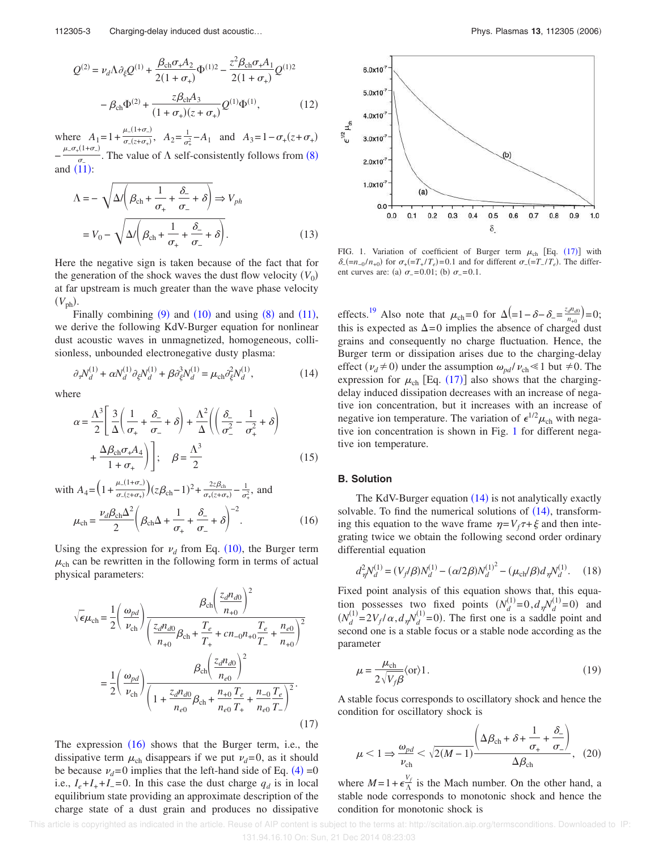$$
Q^{(2)} = \nu_d \Lambda \partial_{\xi} Q^{(1)} + \frac{\beta_{\rm ch} \sigma_+ A_2}{2(1 + \sigma_+)} \Phi^{(1)2} - \frac{z^2 \beta_{\rm ch} \sigma_+ A_1}{2(1 + \sigma_+)} Q^{(1)2} - \beta_{\rm ch} \Phi^{(2)} + \frac{z \beta_{\rm ch} A_3}{(1 + \sigma_+)(z + \sigma_+)} Q^{(1)} \Phi^{(1)},
$$
(12)

where  $A_1 = 1 + \frac{\mu_-(1+\sigma_-)}{\sigma_-(z+\sigma_+)}$ ,  $A_2 = \frac{1}{\sigma_z^2}$  $\frac{1}{\sigma_{+}^{2}} - A_{1}$  and  $A_{3} = 1 - \sigma_{+}(z + \sigma_{+})$ 

 $-\frac{\mu_{-}\sigma_{+}(1+\sigma_{-})}{\sigma}$  $\frac{1}{\sigma_{-}}$ . The value of  $\Lambda$  self-consistently follows from (8) and  $(11)$ :

$$
\Lambda = -\sqrt{\Delta/\left(\beta_{\text{ch}} + \frac{1}{\sigma_{+}} + \frac{\delta_{-}}{\sigma_{-}} + \delta\right)} \Rightarrow V_{ph}
$$

$$
= V_{0} - \sqrt{\Delta/\left(\beta_{\text{ch}} + \frac{1}{\sigma_{+}} + \frac{\delta_{-}}{\sigma_{-}} + \delta\right)}.
$$
(13)

Here the negative sign is taken because of the fact that for the generation of the shock waves the dust flow velocity  $(V_0)$ at far upstream is much greater than the wave phase velocity  $(V_{\text{ph}})$ .

Finally combining  $(9)$  and  $(10)$  and using  $(8)$  and  $(11)$ , we derive the following KdV-Burger equation for nonlinear dust acoustic waves in unmagnetized, homogeneous, collisionless, unbounded electronegative dusty plasma:

$$
\partial_{\tau} N_d^{(1)} + \alpha N_d^{(1)} \partial_{\xi} N_d^{(1)} + \beta \partial_{\xi}^3 N_d^{(1)} = \mu_{\rm ch} \partial_{\xi}^2 N_d^{(1)},\tag{14}
$$

where

$$
\alpha = \frac{\Lambda^3}{2} \left[ \frac{3}{\Delta} \left( \frac{1}{\sigma_+} + \frac{\delta_-}{\sigma_-} + \delta \right) + \frac{\Lambda^2}{\Delta} \left( \left( \frac{\delta_-}{\sigma_-^2} - \frac{1}{\sigma_+^2} + \delta \right) + \frac{\Lambda \beta_{\text{ch}} \sigma_+ A_4}{1 + \sigma_+} \right) \right]; \quad \beta = \frac{\Lambda^3}{2} \tag{15}
$$

with  $A_4 = \left(1 + \frac{\mu_-(1+\sigma_-)}{\sigma_-(z+\sigma_+)}\right) (z\beta_{ch} - 1)^2 + \frac{2z\beta_{ch}}{\sigma_+(\overline{z+\sigma_+})}$  $\frac{2z\beta_{\rm ch}}{\sigma_{+}(z+\sigma_{+})}-\frac{1}{\sigma_{-}^2}$  $\frac{1}{\sigma^2}$ , and  $\mu_{ch} = \frac{\nu_d \beta_{ch} \Delta^2}{2}$  $\frac{\beta_{\rm ch}\Delta^2}{2}\bigg(\beta_{\rm ch}\Delta+\frac{1}{\sigma}\bigg)$  $\sigma_{\scriptscriptstyle +}$  $+\frac{\delta_-}{\delta_-}$  $\sigma_{-}$  $+\delta$ <sup>-2</sup> .  $(16)$ 

Using the expression for  $\nu_d$  from Eq. (10), the Burger term  $\mu_{ch}$  can be rewritten in the following form in terms of actual physical parameters:

$$
\sqrt{\epsilon}\mu_{ch} = \frac{1}{2} \left( \frac{\omega_{pd}}{\nu_{ch}} \right) \frac{\beta_{ch} \left( \frac{z_d n_{d0}}{n_{+0}} \right)^2}{\left( \frac{z_d n_{d0}}{n_{+0}} \beta_{ch} + \frac{T_e}{T_+} + cn_{-0} n_{+0} \frac{T_e}{T_-} + \frac{n_{e0}}{n_{+0}} \right)^2}
$$

$$
= \frac{1}{2} \left( \frac{\omega_{pd}}{\nu_{ch}} \right) \frac{\beta_{ch} \left( \frac{z_d n_{d0}}{n_{e0}} \right)^2}{\left( 1 + \frac{z_d n_{d0}}{n_{e0}} \beta_{ch} + \frac{n_{+0}}{n_{e0}} \frac{T_e}{T_+} + \frac{n_{-0}}{n_{e0}} \frac{T_e}{T_-} \right)^2}.
$$
(17)

The expression  $(16)$  shows that the Burger term, i.e., the dissipative term  $\mu_{ch}$  disappears if we put  $\nu_d=0$ , as it should be because  $\nu_d = 0$  implies that the left-hand side of Eq. (4) = 0 i.e.,  $I_e + I_+ + I_- = 0$ . In this case the dust charge  $q_d$  is in local equilibrium state providing an approximate description of the charge state of a dust grain and produces no dissipative



FIG. 1. Variation of coefficient of Burger term  $\mu_{ch}$  [Eq. (17)] with  $\delta$ <sup>-</sup>(= $n_{-0}/n_{+0}$ ) for  $\sigma$ <sub>+</sub>(= $T$ <sub>+</sub>/ $T$ <sub>e</sub>)=0.1 and for different  $\sigma$ <sup>-</sup>(= $T$ <sup>-</sup>/ $T$ <sub>e</sub>). The different curves are: (a)  $\sigma_{-} = 0.01$ ; (b)  $\sigma_{-} = 0.1$ .

effects.<sup>19</sup> Also note that  $\mu_{ch}=0$  for  $\Delta\left(1-\delta-\delta\right)=\frac{z_d n_{d0}}{n_{d0}}$  $\frac{d^{n}d0}{n_{+0}}$  = 0; this is expected as  $\Delta=0$  implies the absence of charged dust grains and consequently no charge fluctuation. Hence, the Burger term or dissipation arises due to the charging-delay effect ( $\nu_d \neq 0$ ) under the assumption  $\omega_{pd}/\nu_{ch} \leq 1$  but  $\neq 0$ . The expression for  $\mu_{ch}$  [Eq. (17)] also shows that the chargingdelay induced dissipation decreases with an increase of negative ion concentration, but it increases with an increase of negative ion temperature. The variation of  $\epsilon^{1/2}$   $\mu_{ch}$  with negative ion concentration is shown in Fig. 1 for different negative ion temperature.

#### **B. Solution**

The KdV-Burger equation  $(14)$  is not analytically exactly solvable. To find the numerical solutions of  $(14)$ , transforming this equation to the wave frame  $\eta = V_f \tau + \xi$  and then integrating twice we obtain the following second order ordinary differential equation

$$
d_{\eta}^{2} N_{d}^{(1)} = (V_{f}/\beta) N_{d}^{(1)} - (\alpha/2\beta) N_{d}^{(1)^{2}} - (\mu_{\rm ch}/\beta) d_{\eta} N_{d}^{(1)}.
$$
 (18)

Fixed point analysis of this equation shows that, this equation possesses two fixed points  $(N_d^{(1)}=0, d_\eta N_d^{(1)}=0)$  and  $(N_d^{(1)} = 2V_f / \alpha, d_p N_d^{(1)} = 0)$ . The first one is a saddle point and second one is a stable focus or a stable node according as the parameter

$$
\mu = \frac{\mu_{\rm ch}}{2\sqrt{V_f \beta}} \langle \text{or} \rangle 1. \tag{19}
$$

A stable focus corresponds to oscillatory shock and hence the condition for oscillatory shock is

$$
\mu < 1 \Rightarrow \frac{\omega_{pd}}{\nu_{ch}} < \sqrt{2(M-1)} \frac{\left(\Delta \beta_{ch} + \delta + \frac{1}{\sigma_{+}} + \frac{\delta_{-}}{\sigma_{-}}\right)}{\Delta \beta_{ch}}, \quad (20)
$$

where  $M = 1 + \epsilon \frac{V_f}{\Lambda}$  $\frac{U}{\Lambda}$  is the Mach number. On the other hand, a stable node corresponds to monotonic shock and hence the condition for monotonic shock is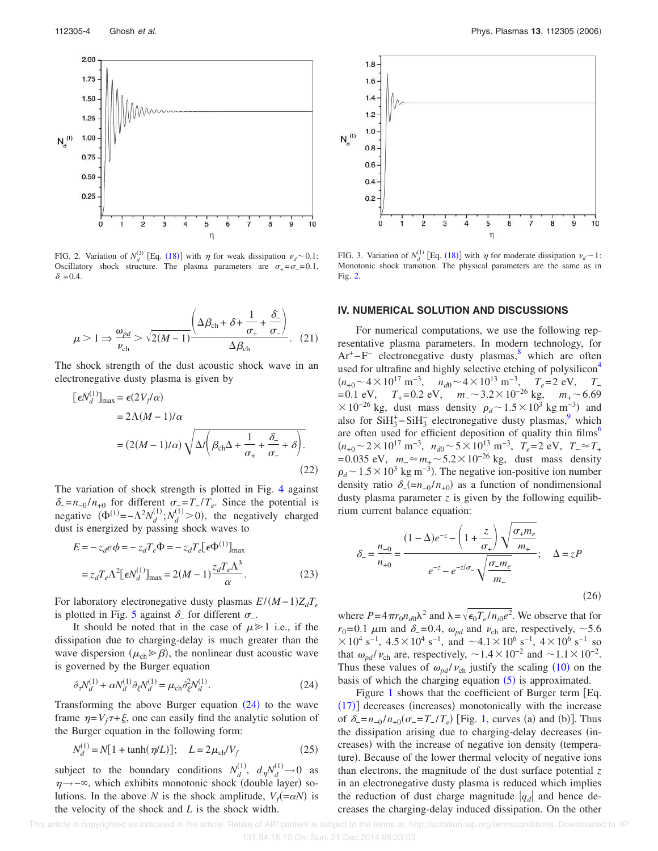

FIG. 2. Variation of  $N_d^{(1)}$  [Eq. (18)] with  $\eta$  for weak dissipation  $\nu_d \sim 0.1$ : Oscillatory shock structure. The plasma parameters are  $\sigma_{+} = \sigma_{-} = 0.1$ ,  $\delta = 0.4$ .

$$
\mu > 1 \Rightarrow \frac{\omega_{pd}}{\nu_{ch}} > \sqrt{2(M-1)} \frac{\left(\Delta \beta_{ch} + \delta + \frac{1}{\sigma_{+}} + \frac{\delta_{-}}{\sigma_{-}}\right)}{\Delta \beta_{ch}}.
$$
 (21)

The shock strength of the dust acoustic shock wave in an electronegative dusty plasma is given by

$$
\begin{aligned} \left[\epsilon N_d^{(1)}\right]_{\text{max}} &= \epsilon (2V_f/\alpha) \\ &= 2\Lambda (M-1)/\alpha \\ &= (2(M-1)/\alpha) \sqrt{\Delta/\left(\beta_{\text{ch}}\Delta + \frac{1}{\sigma_+} + \frac{\delta_-}{\sigma_-} + \delta\right)}. \end{aligned} \tag{22}
$$

The variation of shock strength is plotted in Fig. 4 against  $\delta = n_{-0}/n_{+0}$  for different  $\sigma = T_{-}/T_e$ . Since the potential is negative  $(\Phi^{(1)} = -\Lambda^2 N_d^{(1)}; N_d^{(1)} > 0)$ , the negatively charged dust is energized by passing shock waves to

$$
E = -z_d e \phi = -z_d T_e \Phi = -z_d T_e [\epsilon \Phi^{(1)}]_{\text{max}}
$$
  
=  $z_d T_e \Lambda^2 [\epsilon N_d^{(1)}]_{\text{max}} = 2(M - 1) \frac{z_d T_e \Lambda^3}{\alpha}.$  (23)

*For laboratory electronegative dusty plasmas*  $E/(M-1)Z_dT_e$ is plotted in Fig. 5 against  $\delta$ <sub>-</sub> for different  $\sigma$ <sub>-</sub>.

It should be noted that in the case of  $\mu \ge 1$  i.e., if the dissipation due to charging-delay is much greater than the wave dispersion ( $\mu_{ch} \gg \beta$ ), the nonlinear dust acoustic wave is governed by the Burger equation

$$
\partial_{\tau} N_d^{(1)} + \alpha N_d^{(1)} \partial_{\xi} N_d^{(1)} = \mu_{\rm ch} \partial_{\xi}^2 N_d^{(1)}.
$$
 (24)

Transforming the above Burger equation  $(24)$  to the wave frame  $\eta = V_f \tau + \xi$ , one can easily find the analytic solution of the Burger equation in the following form:

$$
N_d^{(1)} = N[1 + \tanh(\eta/L)]; \quad L = 2\mu_{ch}/V_f \tag{25}
$$

subject to the boundary conditions  $N_d^{(1)}$ ,  $d_n N_d^{(1)} \rightarrow 0$  as  $\eta \rightarrow -\infty$ , which exhibits monotonic shock (double layer) solutions. In the above *N* is the shock amplitude,  $V_f = \alpha N$  is the velocity of the shock and *L* is the shock width.



FIG. 3. Variation of  $N_d^{(1)}$  [Eq. (18)] with  $\eta$  for moderate dissipation  $\nu_d \sim 1$ : Monotonic shock transition. The physical parameters are the same as in Fig. 2.

#### **IV. NUMERICAL SOLUTION AND DISCUSSIONS**

For numerical computations, we use the following representative plasma parameters. In modern technology, for  $Ar<sup>+</sup> – F<sup>-</sup>$  electronegative dusty plasmas,<sup>8</sup> which are often used for ultrafine and highly selective etching of polysilicon<sup>4</sup>  $(n_{+0} \sim 4 \times 10^{17} \text{ m}^{-3}, \quad n_{d0} \sim 4 \times 10^{13} \text{ m}^{-3}, \quad T_e = 2 \text{ eV}, \quad T$ =0.1 eV, *T*<sub>+</sub>=0.2 eV, *m*<sub>−</sub>∼3.2×10<sup>-26</sup> kg, *m*<sub>+</sub>∼6.69  $\times 10^{-26}$  kg, dust mass density  $\rho_d \sim 1.5 \times 10^3$  kg m<sup>-3</sup>) and also for  $\text{SiH}_3^+$ - $\text{SiH}_3^-$  electronegative dusty plasmas,<sup>9</sup> which are often used for efficient deposition of quality thin films<sup>6</sup>  $(n_{+0}$  ~ 2 × 10<sup>17</sup> m<sup>-3</sup>,  $n_{d0}$  ~ 5 × 10<sup>13</sup> m<sup>-3</sup>,  $T_e$  = 2 eV,  $T_e$  ≈  $T_+$ =0.035 eV,  $m_$  ≈  $m_+$  ~ 5.2 × 10<sup>-26</sup> kg, dust mass density  $\rho_d$  ~ 1.5 × 10<sup>3</sup> kg m<sup>-3</sup>). The negative ion-positive ion number density ratio  $\delta_- (=n_{-0}/n_{+0})$  as a function of nondimensional dusty plasma parameter *z* is given by the following equilibrium current balance equation:

$$
\delta_{-} = \frac{n_{-0}}{n_{+0}} = \frac{(1 - \Delta)e^{-z} - \left(1 + \frac{z}{\sigma_{+}}\right)\sqrt{\frac{\sigma_{+}m_{e}}{m_{+}}}}{e^{-z} - e^{-z/\sigma_{-}}\sqrt{\frac{\sigma_{-}m_{e}}{m_{-}}}}; \quad \Delta = zP
$$
\n(26)

where  $P = 4\pi r_0 n_{d0} \lambda^2$  and  $\lambda = \sqrt{\epsilon_0 T_e / n_{i0} e^2}$ . We observe that for  $r_0$ =0.1  $\mu$ m and  $\delta$ <sub>=</sub>=0.4,  $\omega_{pd}$  and  $\nu_{ch}$  are, respectively, ~5.6  $\times 10^4$  s<sup>-1</sup>, 4.5  $\times 10^4$  s<sup>-1</sup>, and  $\sim 4.1 \times 10^6$  s<sup>-1</sup>, 4  $\times 10^6$  s<sup>-1</sup> so that  $\omega_{pd}/v_{ch}$  are, respectively,  $\sim 1.4 \times 10^{-2}$  and  $\sim 1.1 \times 10^{-2}$ . Thus these values of  $\omega_{pd}/v_{ch}$  justify the scaling (10) on the basis of which the charging equation  $(5)$  is approximated.

Figure 1 shows that the coefficient of Burger term [Eq. (17)] decreases (increases) monotonically with the increase of  $\delta = \frac{n_{-0}}{n_{+0}}(\sigma = T_{-}/T_e)$  [Fig. 1, curves (a) and (b)]. Thus the dissipation arising due to charging-delay decreases increases) with the increase of negative ion density (temperature). Because of the lower thermal velocity of negative ions than electrons, the magnitude of the dust surface potential *z* in an electronegative dusty plasma is reduced which implies the reduction of dust charge magnitude  $|q_d|$  and hence decreases the charging-delay induced dissipation. On the other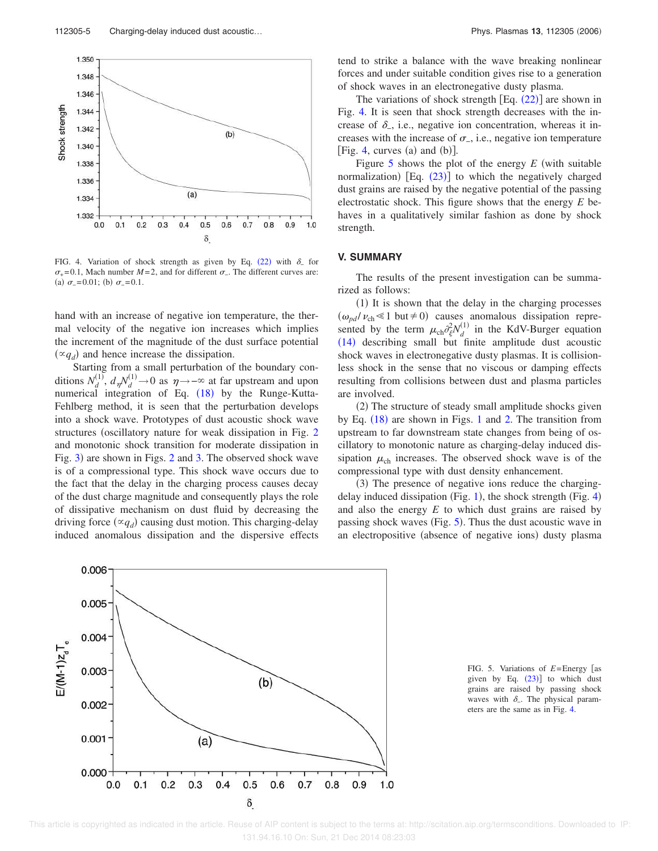

FIG. 4. Variation of shock strength as given by Eq.  $(22)$  with  $\delta$ <sub>-</sub> for  $\sigma_{+} = 0.1$ , Mach number *M* = 2, and for different  $\sigma_{-}$ . The different curves are: (a)  $\sigma_- = 0.01$ ; (b)  $\sigma_- = 0.1$ .

hand with an increase of negative ion temperature, the thermal velocity of the negative ion increases which implies the increment of the magnitude of the dust surface potential  $(\alpha q_d)$  and hence increase the dissipation.

Starting from a small perturbation of the boundary conditions  $N_d^{(1)}$ ,  $d_{\eta}N_d^{(1)} \rightarrow 0$  as  $\eta \rightarrow -\infty$  at far upstream and upon numerical integration of Eq. (18) by the Runge-Kutta-Fehlberg method, it is seen that the perturbation develops into a shock wave. Prototypes of dust acoustic shock wave structures (oscillatory nature for weak dissipation in Fig. 2 and monotonic shock transition for moderate dissipation in Fig. 3) are shown in Figs. 2 and 3. The observed shock wave is of a compressional type. This shock wave occurs due to the fact that the delay in the charging process causes decay of the dust charge magnitude and consequently plays the role of dissipative mechanism on dust fluid by decreasing the driving force  $(\alpha q_d)$  causing dust motion. This charging-delay induced anomalous dissipation and the dispersive effects tend to strike a balance with the wave breaking nonlinear forces and under suitable condition gives rise to a generation of shock waves in an electronegative dusty plasma.

The variations of shock strength  $[Eq. (22)]$  are shown in Fig. 4. It is seen that shock strength decreases with the increase of  $\delta$ , i.e., negative ion concentration, whereas it increases with the increase of  $\sigma_-,$  i.e., negative ion temperature [Fig. 4, curves (a) and  $(b)$ ].

Figure  $\overline{5}$  shows the plot of the energy  $E$  (with suitable normalization)  $[Eq. (23)]$  to which the negatively charged dust grains are raised by the negative potential of the passing electrostatic shock. This figure shows that the energy *E* behaves in a qualitatively similar fashion as done by shock strength.

#### **V. SUMMARY**

The results of the present investigation can be summarized as follows:

(1) It is shown that the delay in the charging processes  $(\omega_{pd}/\nu_{ch} \le 1 \text{ but } \ne 0)$  causes anomalous dissipation represented by the term  $\mu_{ch} \partial_{\xi}^2 N_d^{(1)}$  in the KdV-Burger equation (14) describing small but finite amplitude dust acoustic shock waves in electronegative dusty plasmas. It is collisionless shock in the sense that no viscous or damping effects resulting from collisions between dust and plasma particles are involved.

(2) The structure of steady small amplitude shocks given by Eq.  $(18)$  are shown in Figs. 1 and 2. The transition from upstream to far downstream state changes from being of oscillatory to monotonic nature as charging-delay induced dissipation  $\mu_{ch}$  increases. The observed shock wave is of the compressional type with dust density enhancement.

(3) The presence of negative ions reduce the chargingdelay induced dissipation (Fig. 1), the shock strength (Fig. 4) and also the energy *E* to which dust grains are raised by passing shock waves (Fig. 5). Thus the dust acoustic wave in an electropositive (absence of negative ions) dusty plasma



FIG. 5. Variations of  $E = \text{Energy}$  [as given by Eq.  $(23)$ ] to which dust grains are raised by passing shock waves with  $\delta$ <sub>-</sub>. The physical parameters are the same as in Fig. 4.

This article is copyrighted as indicated in the article. Reuse of AIP content is subject to the terms at: http://scitation.aip.org/termsconditions. Downloaded to IP: 131.94.16.10 On: Sun, 21 Dec 2014 08:23:03